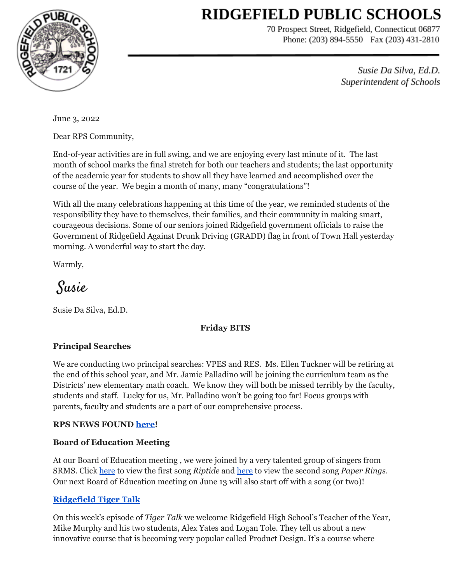# **RIDGEFIELD PUBLIC SCHOOLS**



70 Prospect Street, Ridgefield, Connecticut 06877 Phone: (203) 894-5550 Fax (203) 431-2810

> Susie Da Silva, Ed.D. Superintendent of Schools

June 3, 2022

Dear RPS Community,

End-of-year activities are in full swing, and we are enjoying every last minute of it. The last month of school marks the final stretch for both our teachers and students; the last opportunity of the academic year for students to show all they have learned and accomplished over the course of the year. We begin a month of many, many "congratulations"!

With all the many celebrations happening at this time of the year, we reminded students of the responsibility they have to themselves, their families, and their community in making smart, courageous decisions. Some of our seniors joined Ridgefield government officials to raise the Government of Ridgefield Against Drunk Driving (GRADD) flag in front of Town Hall yesterday morning. A wonderful way to start the day.

Warmly,

Susie

Susie Da Silva, Ed.D.

# **Friday BITS**

### **Principal Searches**

We are conducting two principal searches: VPES and RES. Ms. Ellen Tuckner will be retiring at the end of this school year, and Mr. Jamie Palladino will be joining the curriculum team as the Districts' new elementary math coach. We know they will both be missed terribly by the faculty, students and staff. Lucky for us, Mr. Palladino won't be going too far! Focus groups with parents, faculty and students are a part of our comprehensive process.

### **RPS NEWS FOUND [here](https://drive.google.com/file/d/1zzrYfQV-KcRoMvzZx9y4EHKqe24lNuSh/view?usp=sharing)!**

# **Board of Education Meeting**

At our Board of Education meeting , we were joined by a very talented group of singers from SRMS. Click [here](https://drive.google.com/file/d/10rtCk34vJ5GsnUozGfiklIJA-AxwKeCv/view?usp=sharing) to view the first song *Riptide* and [here](https://drive.google.com/file/d/1vN0gwyflcPcT91Py2QG0mHcpgWGDUCpH/view?usp=sharing) to view the second song *Paper Rings*. Our next Board of Education meeting on June 13 will also start off with a song (or two)!

# **[Ridgefield](https://sites.google.com/ridgefieldps.net/tigertalk/home) Tiger Talk**

On this week's episode of *Tiger Talk* we welcome Ridgefield High School's Teacher of the Year, Mike Murphy and his two students, Alex Yates and Logan Tole. They tell us about a new innovative course that is becoming very popular called Product Design. It's a course where